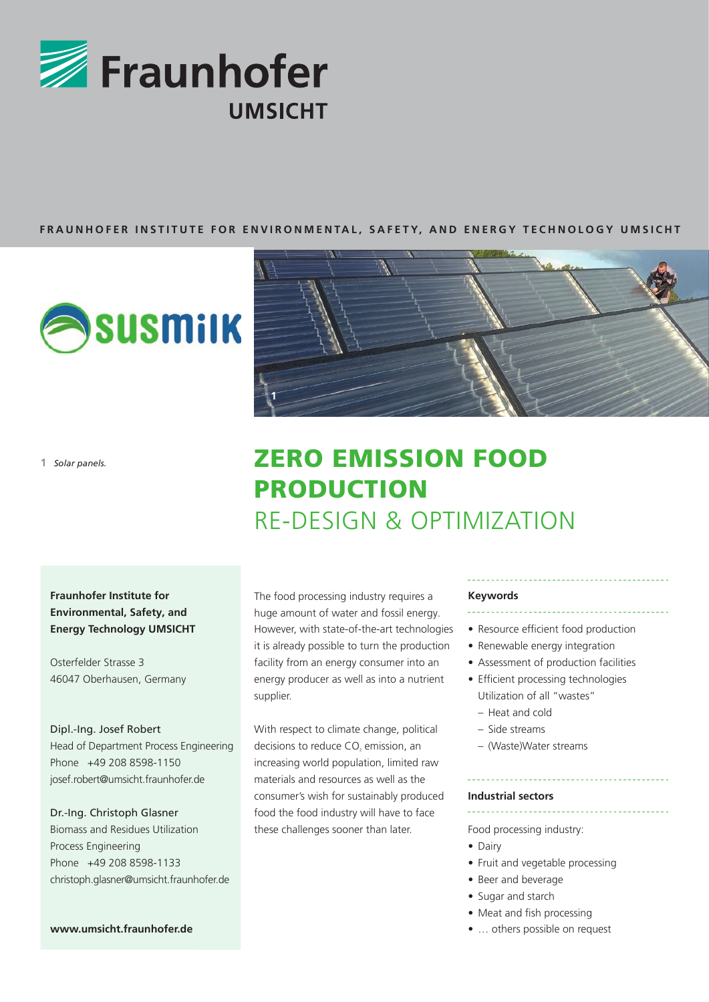

#### **FRAUNHOFER INSTITUTE FOR ENVIRONMENTAL, SAFETY, AND ENERGY TECHNOLOGY UMSICHT**

**1**



**1** *Solar panels.*

## **Fraunhofer Institute for Environmental, Safety, and Energy Technology UMSICHT**

Osterfelder Strasse 3 46047 Oberhausen, Germany

#### Dipl.-Ing. Josef Robert

Head of Department Process Engineering Phone +49 208 8598-1150 josef.robert@umsicht.fraunhofer.de

### Dr.-Ing. Christoph Glasner Biomass and Residues Utilization

Process Engineering Phone +49 208 8598-1133 christoph.glasner@umsicht.fraunhofer.de

# ZERO EMISSION FOOD PRODUCTION RE-DESIGN & OPTIMIZATION

The food processing industry requires a huge amount of water and fossil energy. However, with state-of-the-art technologies it is already possible to turn the production facility from an energy consumer into an energy producer as well as into a nutrient supplier.

With respect to climate change, political decisions to reduce CO<sub>2</sub> emission, an increasing world population, limited raw materials and resources as well as the consumer's wish for sustainably produced food the food industry will have to face these challenges sooner than later.

#### **Keywords**

- Resource efficient food production
- Renewable energy integration
- Assessment of production facilities
- Efficient processing technologies Utilization of all "wastes"
	- Heat and cold
	- Side streams
	- (Waste)Water streams

#### **Industrial sectors**

Food processing industry:

- Dairy
- Fruit and vegetable processing
- Beer and beverage
- Sugar and starch
- Meat and fish processing
- … others possible on request